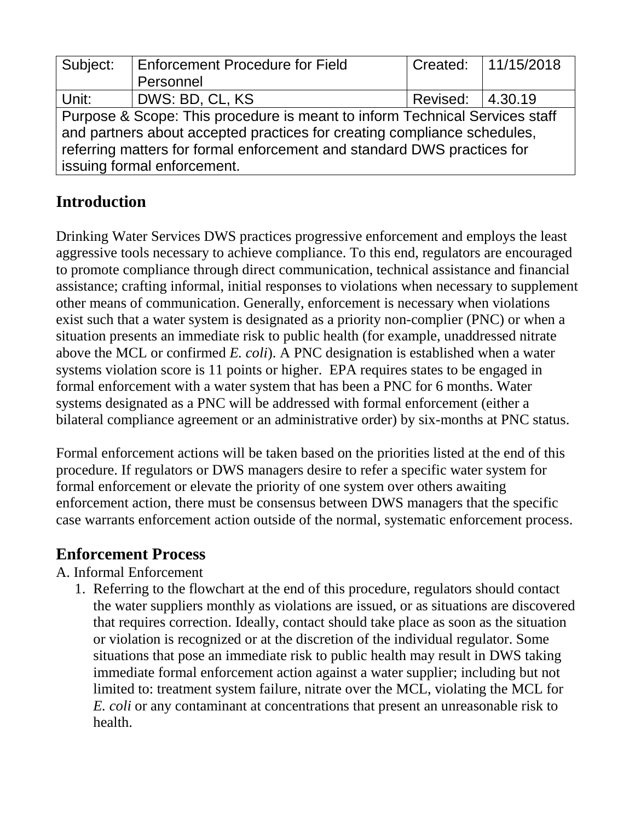| Subject:                                                                    | <b>Enforcement Procedure for Field</b> |                    | Created: 11/15/2018 |
|-----------------------------------------------------------------------------|----------------------------------------|--------------------|---------------------|
|                                                                             | Personnel                              |                    |                     |
| Unit:                                                                       | DWS: BD, CL, KS                        | Revised:   4.30.19 |                     |
| Purpose & Scope: This procedure is meant to inform Technical Services staff |                                        |                    |                     |
| and partners about accepted practices for creating compliance schedules,    |                                        |                    |                     |
| referring matters for formal enforcement and standard DWS practices for     |                                        |                    |                     |
| issuing formal enforcement.                                                 |                                        |                    |                     |

# **Introduction**

Drinking Water Services DWS practices progressive enforcement and employs the least aggressive tools necessary to achieve compliance. To this end, regulators are encouraged to promote compliance through direct communication, technical assistance and financial assistance; crafting informal, initial responses to violations when necessary to supplement other means of communication. Generally, enforcement is necessary when violations exist such that a water system is designated as a priority non-complier (PNC) or when a situation presents an immediate risk to public health (for example, unaddressed nitrate above the MCL or confirmed *E. coli*). A PNC designation is established when a water systems violation score is 11 points or higher. EPA requires states to be engaged in formal enforcement with a water system that has been a PNC for 6 months. Water systems designated as a PNC will be addressed with formal enforcement (either a bilateral compliance agreement or an administrative order) by six-months at PNC status.

Formal enforcement actions will be taken based on the priorities listed at the end of this procedure. If regulators or DWS managers desire to refer a specific water system for formal enforcement or elevate the priority of one system over others awaiting enforcement action, there must be consensus between DWS managers that the specific case warrants enforcement action outside of the normal, systematic enforcement process.

## **Enforcement Process**

## A. Informal Enforcement

1. Referring to the flowchart at the end of this procedure, regulators should contact the water suppliers monthly as violations are issued, or as situations are discovered that requires correction. Ideally, contact should take place as soon as the situation or violation is recognized or at the discretion of the individual regulator. Some situations that pose an immediate risk to public health may result in DWS taking immediate formal enforcement action against a water supplier; including but not limited to: treatment system failure, nitrate over the MCL, violating the MCL for *E. coli* or any contaminant at concentrations that present an unreasonable risk to health.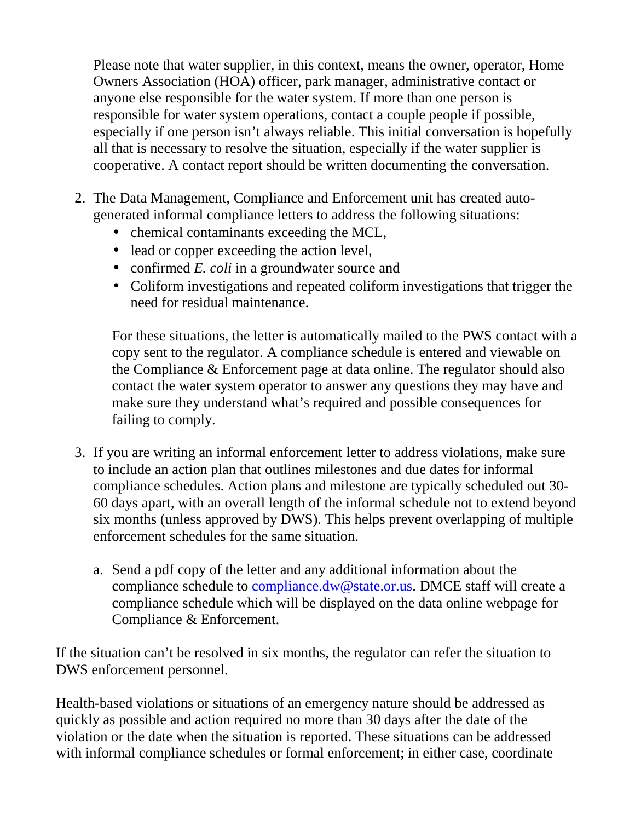Please note that water supplier, in this context, means the owner, operator, Home Owners Association (HOA) officer, park manager, administrative contact or anyone else responsible for the water system. If more than one person is responsible for water system operations, contact a couple people if possible, especially if one person isn't always reliable. This initial conversation is hopefully all that is necessary to resolve the situation, especially if the water supplier is cooperative. A contact report should be written documenting the conversation.

- 2. The Data Management, Compliance and Enforcement unit has created autogenerated informal compliance letters to address the following situations:
	- chemical contaminants exceeding the MCL,
	- lead or copper exceeding the action level,
	- confirmed *E. coli* in a groundwater source and
	- Coliform investigations and repeated coliform investigations that trigger the need for residual maintenance.

For these situations, the letter is automatically mailed to the PWS contact with a copy sent to the regulator. A compliance schedule is entered and viewable on the Compliance & Enforcement page at data online. The regulator should also contact the water system operator to answer any questions they may have and make sure they understand what's required and possible consequences for failing to comply.

- 3. If you are writing an informal enforcement letter to address violations, make sure to include an action plan that outlines milestones and due dates for informal compliance schedules. Action plans and milestone are typically scheduled out 30- 60 days apart, with an overall length of the informal schedule not to extend beyond six months (unless approved by DWS). This helps prevent overlapping of multiple enforcement schedules for the same situation.
	- a. Send a pdf copy of the letter and any additional information about the compliance schedule to compliance.dw@state.or.us. DMCE staff will create a compliance schedule which will be displayed on the data online webpage for Compliance & Enforcement.

If the situation can't be resolved in six months, the regulator can refer the situation to DWS enforcement personnel.

Health-based violations or situations of an emergency nature should be addressed as quickly as possible and action required no more than 30 days after the date of the violation or the date when the situation is reported. These situations can be addressed with informal compliance schedules or formal enforcement; in either case, coordinate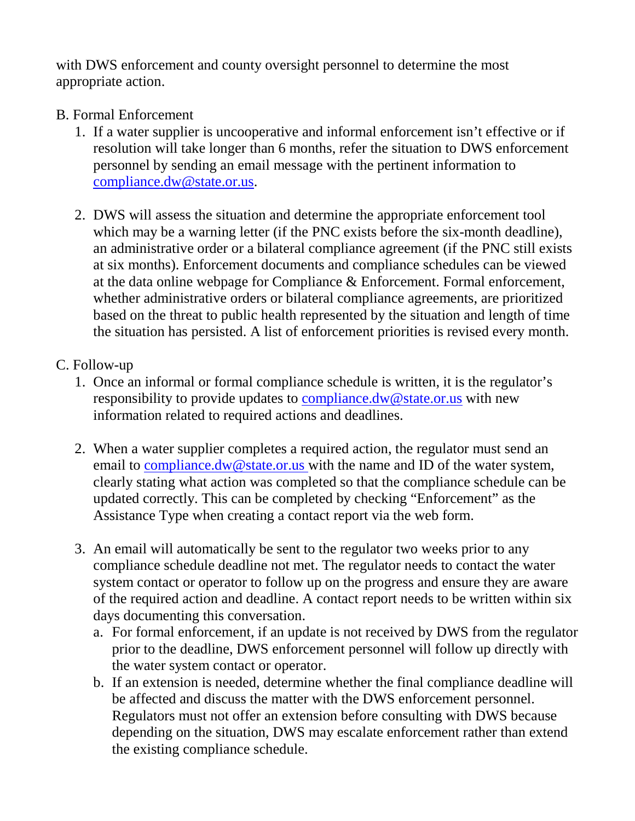with DWS enforcement and county oversight personnel to determine the most appropriate action.

#### B. Formal Enforcement

- 1. If a water supplier is uncooperative and informal enforcement isn't effective or if resolution will take longer than 6 months, refer the situation to DWS enforcement personnel by sending an email message with the pertinent information to compliance.dw@state.or.us.
- 2. DWS will assess the situation and determine the appropriate enforcement tool which may be a warning letter (if the PNC exists before the six-month deadline), an administrative order or a bilateral compliance agreement (if the PNC still exists at six months). Enforcement documents and compliance schedules can be viewed at the data online webpage for Compliance & Enforcement. Formal enforcement, whether administrative orders or bilateral compliance agreements, are prioritized based on the threat to public health represented by the situation and length of time the situation has persisted. A list of enforcement priorities is revised every month.

#### C. Follow-up

- 1. Once an informal or formal compliance schedule is written, it is the regulator's responsibility to provide updates to compliance.dw@state.or.us with new information related to required actions and deadlines.
- 2. When a water supplier completes a required action, the regulator must send an email to compliance.dw@state.or.us with the name and ID of the water system, clearly stating what action was completed so that the compliance schedule can be updated correctly. This can be completed by checking "Enforcement" as the Assistance Type when creating a contact report via the web form.
- 3. An email will automatically be sent to the regulator two weeks prior to any compliance schedule deadline not met. The regulator needs to contact the water system contact or operator to follow up on the progress and ensure they are aware of the required action and deadline. A contact report needs to be written within six days documenting this conversation.
	- a. For formal enforcement, if an update is not received by DWS from the regulator prior to the deadline, DWS enforcement personnel will follow up directly with the water system contact or operator.
	- b. If an extension is needed, determine whether the final compliance deadline will be affected and discuss the matter with the DWS enforcement personnel. Regulators must not offer an extension before consulting with DWS because depending on the situation, DWS may escalate enforcement rather than extend the existing compliance schedule.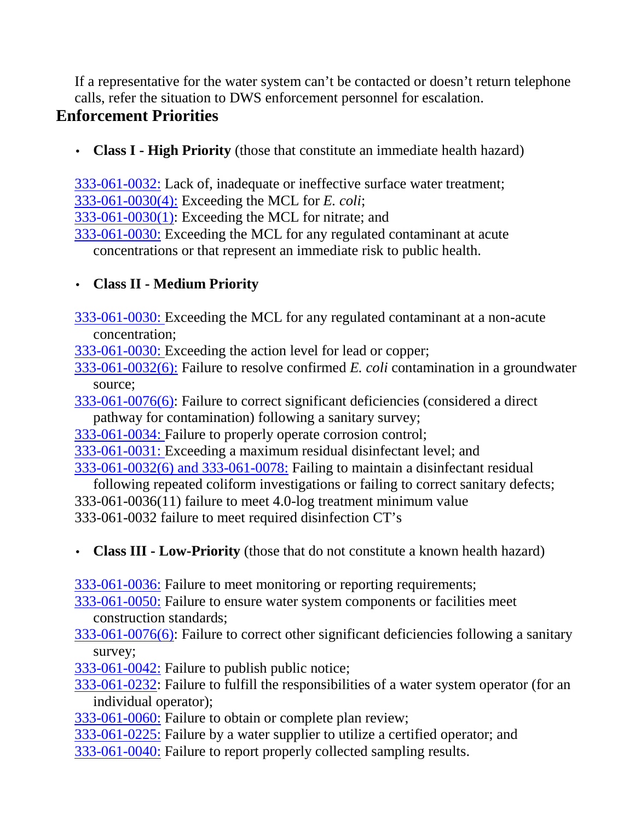If a representative for the water system can't be contacted or doesn't return telephone calls, refer the situation to DWS enforcement personnel for escalation.

# **Enforcement Priorities**

• **Class I - High Priority** (those that constitute an immediate health hazard)

333-061-0032: Lack of, inadequate or ineffective surface water treatment; 333-061-0030(4): Exceeding the MCL for *E. coli*;

333-061-0030(1): Exceeding the MCL for nitrate; and

333-061-0030: Exceeding the MCL for any regulated contaminant at acute concentrations or that represent an immediate risk to public health.

## • **Class II - Medium Priority**

- 333-061-0030: Exceeding the MCL for any regulated contaminant at a non-acute concentration;
- 333-061-0030: Exceeding the action level for lead or copper;
- 333-061-0032(6): Failure to resolve confirmed *E. coli* contamination in a groundwater source;
- 333-061-0076(6): Failure to correct significant deficiencies (considered a direct pathway for contamination) following a sanitary survey;
- 333-061-0034: Failure to properly operate corrosion control;
- 333-061-0031: Exceeding a maximum residual disinfectant level; and

333-061-0032(6) and 333-061-0078: Failing to maintain a disinfectant residual

following repeated coliform investigations or failing to correct sanitary defects; 333-061-0036(11) failure to meet 4.0-log treatment minimum value 333-061-0032 failure to meet required disinfection CT's

- **Class III Low-Priority** (those that do not constitute a known health hazard)
- 333-061-0036: Failure to meet monitoring or reporting requirements;
- 333-061-0050: Failure to ensure water system components or facilities meet construction standards;
- 333-061-0076(6): Failure to correct other significant deficiencies following a sanitary survey;
- 333-061-0042: Failure to publish public notice;
- 333-061-0232: Failure to fulfill the responsibilities of a water system operator (for an individual operator);
- 333-061-0060: Failure to obtain or complete plan review;
- 333-061-0225: Failure by a water supplier to utilize a certified operator; and
- 333-061-0040: Failure to report properly collected sampling results.